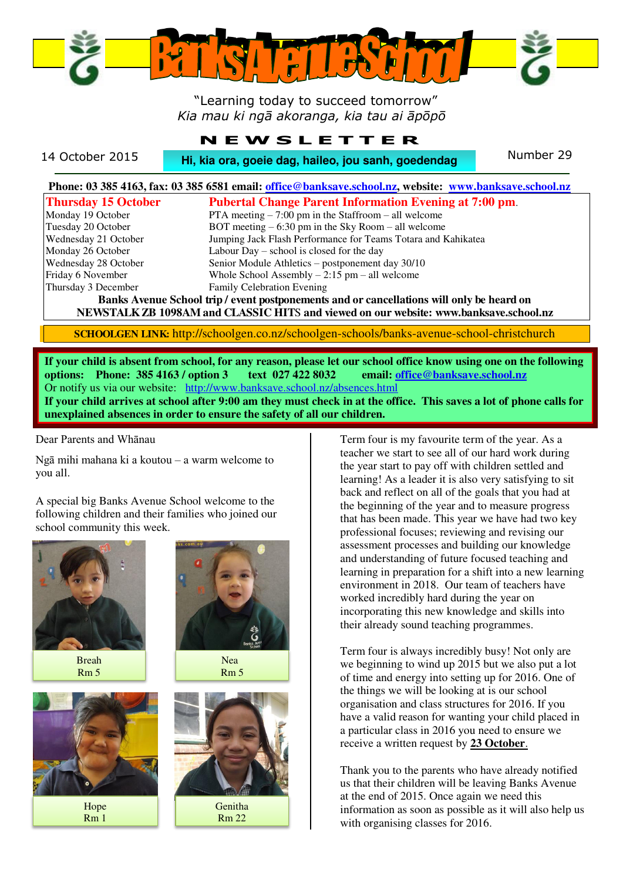

# "Learning today to succeed tomorrow" *Kia mau ki ngā akoranga, kia tau ai āpōpō*

# **N E W S L E T T E R**

14 October 2015 **Hi, kia ora, goeie dag, haileo, jou sanh, goedendag** Number 29

| Phone: 03 385 4163, fax: 03 385 6581 email: office@banksave.school.nz, website: www.banksave.school.nz |                                                               |  |
|--------------------------------------------------------------------------------------------------------|---------------------------------------------------------------|--|
| <b>Thursday 15 October</b>                                                                             | <b>Pubertal Change Parent Information Evening at 7:00 pm.</b> |  |
| Monday 19 October                                                                                      | PTA meeting $-7:00$ pm in the Staffroom $-$ all welcome       |  |
| Tuesday 20 October                                                                                     | BOT meeting $-6:30$ pm in the Sky Room $-$ all welcome        |  |
| Wednesday 21 October                                                                                   | Jumping Jack Flash Performance for Teams Totara and Kahikatea |  |
| Monday 26 October                                                                                      | Labour Day – school is closed for the day                     |  |
| Wednesday 28 October                                                                                   | Senior Module Athletics – postponement day 30/10              |  |
| Friday 6 November                                                                                      | Whole School Assembly $-2:15$ pm $-$ all welcome              |  |
| Thursday 3 December                                                                                    | Family Celebration Evening                                    |  |
| Banks Avenue School trip / event postponements and or cancellations will only be heard on              |                                                               |  |
| NEWSTALK ZB 1098AM and CLASSIC HITS and viewed on our website: www.banksave.school.nz                  |                                                               |  |

**SCHOOLGEN LINK:** http://schoolgen.co.nz/schoolgen-schools/banks-avenue-school-christchurch

**If your child is absent from school, for any reason, please let our school office know using one on the following options: Phone: 385 4163 / option 3 text 027 422 8032 email[: office@banksave.school.nz](mailto:office@banksave.school.nz)**  Or notify us via our website: <http://www.banksave.school.nz/absences.html> **If your child arrives at school after 9:00 am they must check in at the office. This saves a lot of phone calls for unexplained absences in order to ensure the safety of all our children.** 

Dear Parents and Whānau

Ngā mihi mahana ki a koutou – a warm welcome to you all.

A special big Banks Avenue School welcome to the following children and their families who joined our school community this week.



Breah Rm 5



Hope Rm 1



Nea Rm 5



Genitha Rm 22

Term four is my favourite term of the year. As a teacher we start to see all of our hard work during the year start to pay off with children settled and learning! As a leader it is also very satisfying to sit back and reflect on all of the goals that you had at the beginning of the year and to measure progress that has been made. This year we have had two key professional focuses; reviewing and revising our assessment processes and building our knowledge and understanding of future focused teaching and learning in preparation for a shift into a new learning environment in 2018. Our team of teachers have worked incredibly hard during the year on incorporating this new knowledge and skills into their already sound teaching programmes.

Term four is always incredibly busy! Not only are we beginning to wind up 2015 but we also put a lot of time and energy into setting up for 2016. One of the things we will be looking at is our school organisation and class structures for 2016. If you have a valid reason for wanting your child placed in a particular class in 2016 you need to ensure we receive a written request by **23 October**.

Thank you to the parents who have already notified us that their children will be leaving Banks Avenue at the end of 2015. Once again we need this information as soon as possible as it will also help us with organising classes for 2016.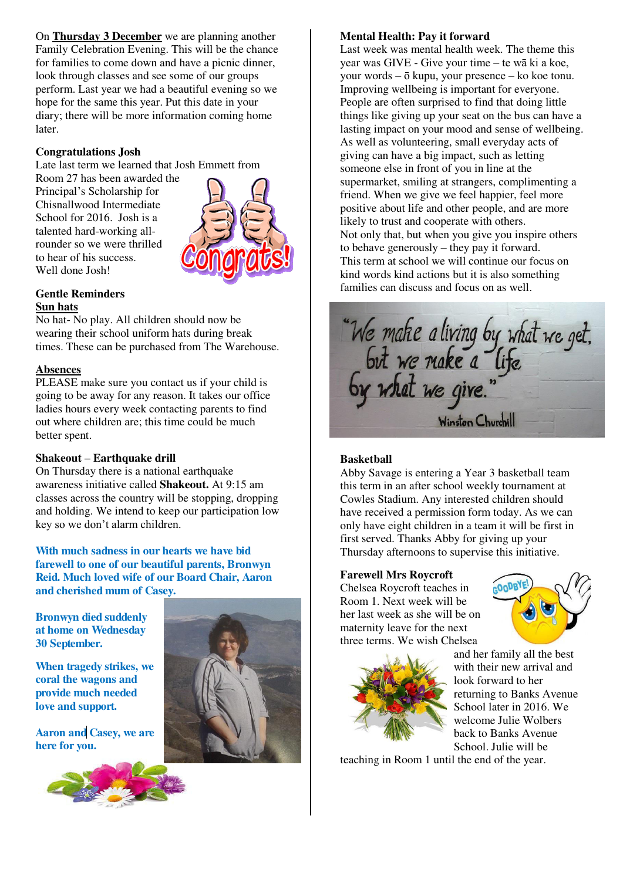On **Thursday 3 December** we are planning another Family Celebration Evening. This will be the chance for families to come down and have a picnic dinner, look through classes and see some of our groups perform. Last year we had a beautiful evening so we hope for the same this year. Put this date in your diary; there will be more information coming home later.

## **Congratulations Josh**

Late last term we learned that Josh Emmett from

Room 27 has been awarded the Principal's Scholarship for Chisnallwood Intermediate School for 2016. Josh is a talented hard-working allrounder so we were thrilled to hear of his success. Well done Josh!



## **Gentle Reminders Sun hats**

No hat- No play. All children should now be wearing their school uniform hats during break times. These can be purchased from The Warehouse.

## **Absences**

PLEASE make sure you contact us if your child is going to be away for any reason. It takes our office ladies hours every week contacting parents to find out where children are; this time could be much better spent.

#### **Shakeout – Earthquake drill**

On Thursday there is a national earthquake awareness initiative called **Shakeout.** At 9:15 am classes across the country will be stopping, dropping and holding. We intend to keep our participation low key so we don't alarm children.

**With much sadness in our hearts we have bid farewell to one of our beautiful parents, Bronwyn Reid. Much loved wife of our Board Chair, Aaron and cherished mum of Casey.** 

**Bronwyn died suddenly at home on Wednesday 30 September.** 

**When tragedy strikes, we coral the wagons and provide much needed love and support.** 

**Aaron and Casey, we are here for you.** 



## **Mental Health: Pay it forward**

Last week was mental health week. The theme this year was GIVE - Give your time – te wā ki a koe, your words – ō kupu, your presence – ko koe tonu. Improving wellbeing is important for everyone. People are often surprised to find that doing little things like giving up your seat on the bus can have a lasting impact on your mood and sense of wellbeing. As well as volunteering, small everyday acts of giving can have a big impact, such as letting someone else in front of you in line at the supermarket, smiling at strangers, complimenting a friend. When we give we feel happier, feel more positive about life and other people, and are more likely to trust and cooperate with others. Not only that, but when you give you inspire others to behave generously – they pay it forward. This term at school we will continue our focus on kind words kind actions but it is also something families can discuss and focus on as well.



## **Basketball**

Abby Savage is entering a Year 3 basketball team this term in an after school weekly tournament at Cowles Stadium. Any interested children should have received a permission form today. As we can only have eight children in a team it will be first in first served. Thanks Abby for giving up your Thursday afternoons to supervise this initiative.

#### **Farewell Mrs Roycroft**

Chelsea Roycroft teaches in Room 1. Next week will be her last week as she will be on maternity leave for the next three terms. We wish Chelsea





and her family all the best with their new arrival and look forward to her returning to Banks Avenue School later in 2016. We welcome Julie Wolbers back to Banks Avenue School. Julie will be

teaching in Room 1 until the end of the year.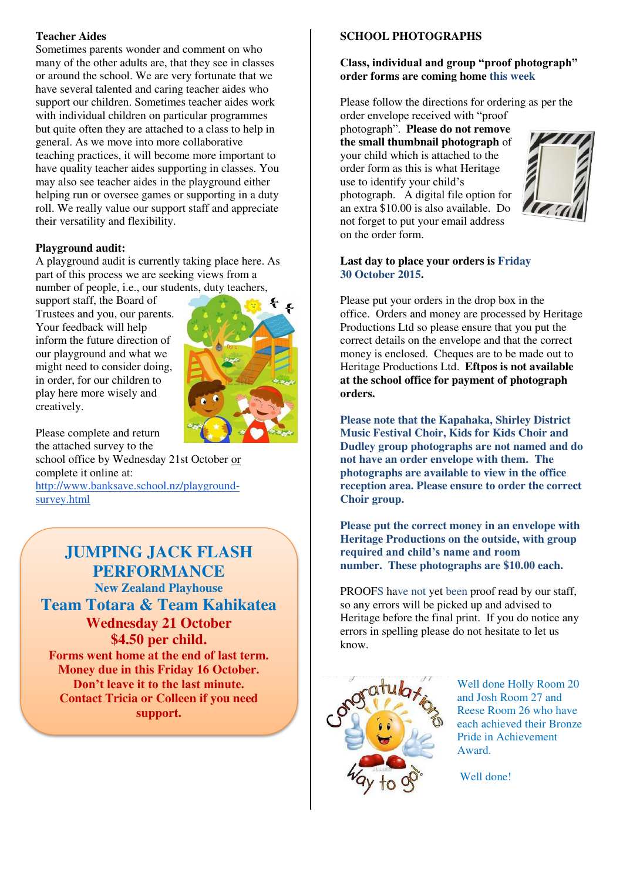# **Teacher Aides**

Sometimes parents wonder and comment on who many of the other adults are, that they see in classes or around the school. We are very fortunate that we have several talented and caring teacher aides who support our children. Sometimes teacher aides work with individual children on particular programmes but quite often they are attached to a class to help in general. As we move into more collaborative teaching practices, it will become more important to have quality teacher aides supporting in classes. You may also see teacher aides in the playground either helping run or oversee games or supporting in a duty roll. We really value our support staff and appreciate their versatility and flexibility.

# **Playground audit:**

A playground audit is currently taking place here. As part of this process we are seeking views from a number of people, i.e., our students, duty teachers,

support staff, the Board of Trustees and you, our parents. Your feedback will help inform the future direction of our playground and what we might need to consider doing, in order, for our children to play here more wisely and creatively.



Please complete and return the attached survey to the

school office by Wednesday 21st October or complete it online at:

[http://www.banksave.school.nz/playground](http://www.banksave.school.nz/playground-survey.html)[survey.html](http://www.banksave.school.nz/playground-survey.html) 

**JUMPING JACK FLASH PERFORMANCE New Zealand Playhouse Team Totara & Team Kahikatea Wednesday 21 October \$4.50 per child. Forms went home at the end of last term. Money due in this Friday 16 October. Don't leave it to the last minute. Contact Tricia or Colleen if you need support.**

# **SCHOOL PHOTOGRAPHS**

# **Class, individual and group "proof photograph" order forms are coming home this week**

Please follow the directions for ordering as per the

order envelope received with "proof photograph". **Please do not remove the small thumbnail photograph** of your child which is attached to the order form as this is what Heritage use to identify your child's photograph. A digital file option for an extra \$10.00 is also available. Do not forget to put your email address on the order form.



## **Last day to place your orders is Friday 30 October 2015.**

Please put your orders in the drop box in the office. Orders and money are processed by Heritage Productions Ltd so please ensure that you put the correct details on the envelope and that the correct money is enclosed. Cheques are to be made out to Heritage Productions Ltd. **Eftpos is not available at the school office for payment of photograph orders.** 

**Please note that the Kapahaka, Shirley District Music Festival Choir, Kids for Kids Choir and Dudley group photographs are not named and do not have an order envelope with them. The photographs are available to view in the office reception area. Please ensure to order the correct Choir group.** 

**Please put the correct money in an envelope with Heritage Productions on the outside, with group required and child's name and room number. These photographs are \$10.00 each.** 

PROOFS have not yet been proof read by our staff, so any errors will be picked up and advised to Heritage before the final print. If you do notice any errors in spelling please do not hesitate to let us know.



Well done Holly Room 20 and Josh Room 27 and Reese Room 26 who have each achieved their Bronze Pride in Achievement Award.

Well done!